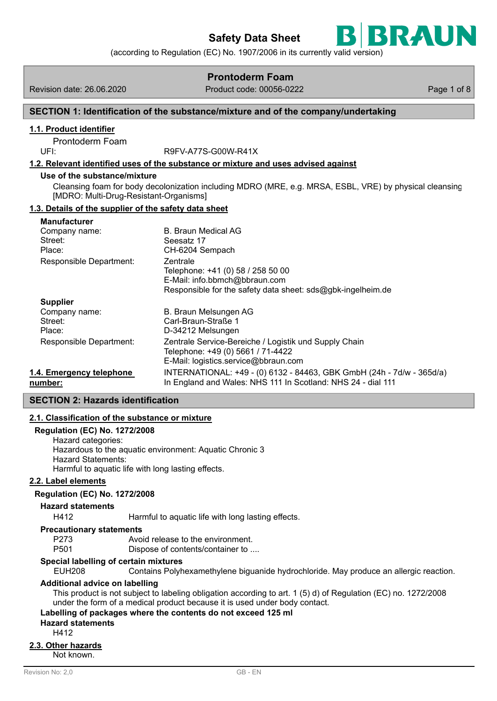

(according to Regulation (EC) No. 1907/2006 in its currently valid version)

|                                                                                                                                               | <b>Prontoderm Foam</b>                                                                                                                                                                                                                                        |             |  |  |  |
|-----------------------------------------------------------------------------------------------------------------------------------------------|---------------------------------------------------------------------------------------------------------------------------------------------------------------------------------------------------------------------------------------------------------------|-------------|--|--|--|
| Revision date: 26.06.2020                                                                                                                     | Product code: 00056-0222                                                                                                                                                                                                                                      | Page 1 of 8 |  |  |  |
|                                                                                                                                               | SECTION 1: Identification of the substance/mixture and of the company/undertaking                                                                                                                                                                             |             |  |  |  |
| 1.1. Product identifier                                                                                                                       |                                                                                                                                                                                                                                                               |             |  |  |  |
| Prontoderm Foam                                                                                                                               |                                                                                                                                                                                                                                                               |             |  |  |  |
| UFI:                                                                                                                                          | R9FV-A77S-G00W-R41X<br>1.2. Relevant identified uses of the substance or mixture and uses advised against                                                                                                                                                     |             |  |  |  |
| Use of the substance/mixture                                                                                                                  |                                                                                                                                                                                                                                                               |             |  |  |  |
| [MDRO: Multi-Drug-Resistant-Organisms]                                                                                                        | Cleansing foam for body decolonization including MDRO (MRE, e.g. MRSA, ESBL, VRE) by physical cleansing                                                                                                                                                       |             |  |  |  |
| 1.3. Details of the supplier of the safety data sheet                                                                                         |                                                                                                                                                                                                                                                               |             |  |  |  |
| <b>Manufacturer</b><br>Company name:<br>Street:<br>Place:<br>Responsible Department:                                                          | <b>B. Braun Medical AG</b><br>Seesatz 17<br>CH-6204 Sempach<br>Zentrale<br>Telephone: +41 (0) 58 / 258 50 00                                                                                                                                                  |             |  |  |  |
|                                                                                                                                               | E-Mail: info.bbmch@bbraun.com                                                                                                                                                                                                                                 |             |  |  |  |
| <b>Supplier</b><br>Company name:<br>Street:<br>Place:                                                                                         | Responsible for the safety data sheet: sds@gbk-ingelheim.de<br>B. Braun Melsungen AG<br>Carl-Braun-Straße 1<br>D-34212 Melsungen                                                                                                                              |             |  |  |  |
| Responsible Department:                                                                                                                       | Zentrale Service-Bereiche / Logistik und Supply Chain<br>Telephone: +49 (0) 5661 / 71-4422<br>E-Mail: logistics.service@bbraun.com                                                                                                                            |             |  |  |  |
| 1.4. Emergency telephone<br>number:                                                                                                           | INTERNATIONAL: +49 - (0) 6132 - 84463, GBK GmbH (24h - 7d/w - 365d/a)<br>In England and Wales: NHS 111 In Scotland: NHS 24 - dial 111                                                                                                                         |             |  |  |  |
| <b>SECTION 2: Hazards identification</b>                                                                                                      |                                                                                                                                                                                                                                                               |             |  |  |  |
| 2.1. Classification of the substance or mixture                                                                                               |                                                                                                                                                                                                                                                               |             |  |  |  |
| <b>Regulation (EC) No. 1272/2008</b><br>Hazard categories:<br><b>Hazard Statements:</b><br>Harmful to aquatic life with long lasting effects. | Hazardous to the aquatic environment: Aquatic Chronic 3                                                                                                                                                                                                       |             |  |  |  |
| 2.2. Label elements                                                                                                                           |                                                                                                                                                                                                                                                               |             |  |  |  |
| <b>Regulation (EC) No. 1272/2008</b>                                                                                                          |                                                                                                                                                                                                                                                               |             |  |  |  |
| <b>Hazard statements</b>                                                                                                                      |                                                                                                                                                                                                                                                               |             |  |  |  |
| H412                                                                                                                                          | Harmful to aquatic life with long lasting effects.                                                                                                                                                                                                            |             |  |  |  |
| <b>Precautionary statements</b><br>P273<br>P501                                                                                               | Avoid release to the environment.<br>Dispose of contents/container to                                                                                                                                                                                         |             |  |  |  |
| Special labelling of certain mixtures<br><b>EUH208</b>                                                                                        | Contains Polyhexamethylene biguanide hydrochloride. May produce an allergic reaction.                                                                                                                                                                         |             |  |  |  |
| <b>Additional advice on labelling</b><br><b>Hazard statements</b><br>H412                                                                     | This product is not subject to labeling obligation according to art. 1 (5) d) of Regulation (EC) no. 1272/2008<br>under the form of a medical product because it is used under body contact.<br>Labelling of packages where the contents do not exceed 125 ml |             |  |  |  |
| 2.3. Other hazards<br>Not known.                                                                                                              |                                                                                                                                                                                                                                                               |             |  |  |  |
| Revision No: 2,0                                                                                                                              | GB-EN                                                                                                                                                                                                                                                         |             |  |  |  |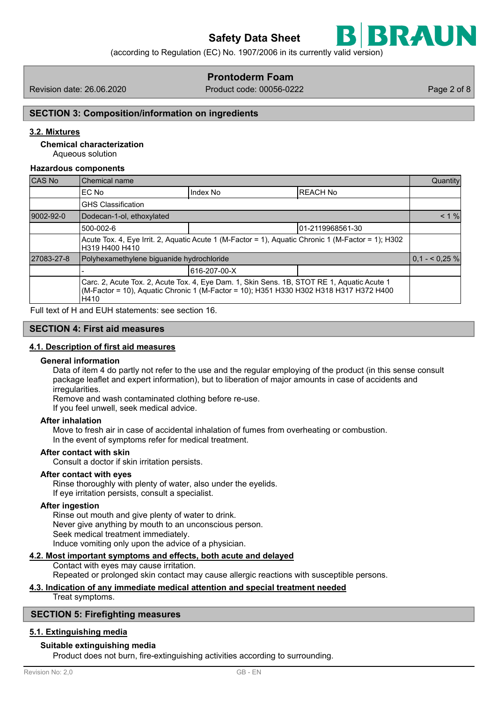

(according to Regulation (EC) No. 1907/2006 in its currently valid version)

# **Prontoderm Foam**

Revision date: 26.06.2020 Product code: 00056-0222 Page 2 of 8

# **SECTION 3: Composition/information on ingredients**

# **3.2. Mixtures**

Aqueous solution **Chemical characterization**

#### **Hazardous components**

| CAS No     | Chemical name                                                                                                                                                                                |                              |                  |                 |  |  |
|------------|----------------------------------------------------------------------------------------------------------------------------------------------------------------------------------------------|------------------------------|------------------|-----------------|--|--|
|            | EC No                                                                                                                                                                                        | <b>IREACH No</b><br>Index No |                  |                 |  |  |
|            | <b>GHS Classification</b>                                                                                                                                                                    |                              |                  |                 |  |  |
| 9002-92-0  | Dodecan-1-ol, ethoxylated                                                                                                                                                                    |                              |                  |                 |  |  |
|            | 500-002-6                                                                                                                                                                                    |                              | 01-2119968561-30 |                 |  |  |
|            | Acute Tox. 4, Eye Irrit. 2, Aquatic Acute 1 (M-Factor = 1), Aquatic Chronic 1 (M-Factor = 1); H302<br>H319 H400 H410                                                                         |                              |                  |                 |  |  |
| 27083-27-8 | Polyhexamethylene biguanide hydrochloride                                                                                                                                                    |                              |                  | $0,1 - 50,25\%$ |  |  |
|            |                                                                                                                                                                                              | 616-207-00-X                 |                  |                 |  |  |
|            | Carc. 2, Acute Tox. 2, Acute Tox. 4, Eye Dam. 1, Skin Sens. 1B, STOT RE 1, Aquatic Acute 1<br>(M-Factor = 10), Aquatic Chronic 1 (M-Factor = 10); H351 H330 H302 H318 H317 H372 H400<br>H410 |                              |                  |                 |  |  |

Full text of H and EUH statements: see section 16.

# **SECTION 4: First aid measures**

#### **4.1. Description of first aid measures**

#### **General information**

Data of item 4 do partly not refer to the use and the regular employing of the product (in this sense consult package leaflet and expert information), but to liberation of major amounts in case of accidents and irregularities.

Remove and wash contaminated clothing before re-use.

If you feel unwell, seek medical advice.

#### **After inhalation**

Move to fresh air in case of accidental inhalation of fumes from overheating or combustion. In the event of symptoms refer for medical treatment.

#### **After contact with skin**

Consult a doctor if skin irritation persists.

#### **After contact with eyes**

Rinse thoroughly with plenty of water, also under the eyelids. If eye irritation persists, consult a specialist.

#### **After ingestion**

Rinse out mouth and give plenty of water to drink. Never give anything by mouth to an unconscious person. Seek medical treatment immediately. Induce vomiting only upon the advice of a physician.

## **4.2. Most important symptoms and effects, both acute and delayed**

Contact with eyes may cause irritation. Repeated or prolonged skin contact may cause allergic reactions with susceptible persons.

# **4.3. Indication of any immediate medical attention and special treatment needed**

Treat symptoms.

#### **SECTION 5: Firefighting measures**

# **5.1. Extinguishing media**

#### **Suitable extinguishing media**

Product does not burn, fire-extinguishing activities according to surrounding.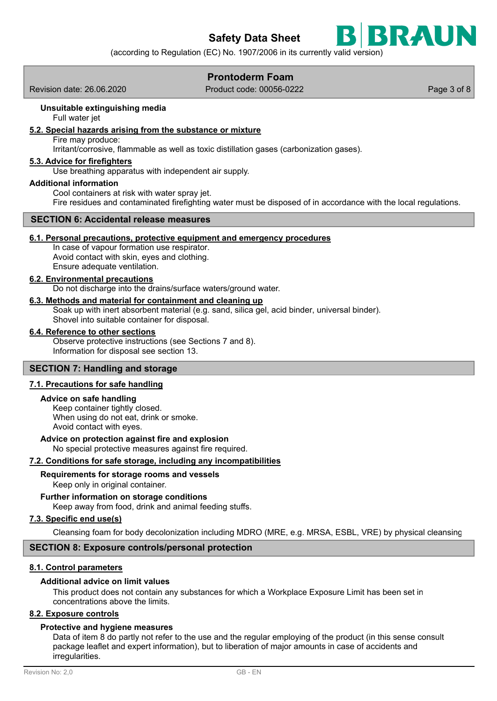

# **Prontoderm Foam**

Revision date: 26.06.2020 Product code: 00056-0222 Page 3 of 8

# **Unsuitable extinguishing media**

Full water jet

# **5.2. Special hazards arising from the substance or mixture**

Fire may produce:

Irritant/corrosive, flammable as well as toxic distillation gases (carbonization gases).

## **5.3. Advice for firefighters**

Use breathing apparatus with independent air supply.

#### **Additional information**

Cool containers at risk with water spray jet. Fire residues and contaminated firefighting water must be disposed of in accordance with the local regulations.

# **SECTION 6: Accidental release measures**

## **6.1. Personal precautions, protective equipment and emergency procedures**

In case of vapour formation use respirator. Avoid contact with skin, eyes and clothing. Ensure adequate ventilation.

#### **6.2. Environmental precautions**

Do not discharge into the drains/surface waters/ground water.

## **6.3. Methods and material for containment and cleaning up**

Soak up with inert absorbent material (e.g. sand, silica gel, acid binder, universal binder). Shovel into suitable container for disposal.

#### **6.4. Reference to other sections**

Observe protective instructions (see Sections 7 and 8). Information for disposal see section 13.

#### **SECTION 7: Handling and storage**

#### **7.1. Precautions for safe handling**

#### **Advice on safe handling**

Keep container tightly closed. When using do not eat, drink or smoke. Avoid contact with eyes.

#### **Advice on protection against fire and explosion**

No special protective measures against fire required.

#### **7.2. Conditions for safe storage, including any incompatibilities**

# **Requirements for storage rooms and vessels**

Keep only in original container.

**Further information on storage conditions**

Keep away from food, drink and animal feeding stuffs.

## **7.3. Specific end use(s)**

Cleansing foam for body decolonization including MDRO (MRE, e.g. MRSA, ESBL, VRE) by physical cleansing

## **SECTION 8: Exposure controls/personal protection**

#### **8.1. Control parameters**

### **Additional advice on limit values**

This product does not contain any substances for which a Workplace Exposure Limit has been set in concentrations above the limits.

# **8.2. Exposure controls**

#### **Protective and hygiene measures**

Data of item 8 do partly not refer to the use and the regular employing of the product (in this sense consult package leaflet and expert information), but to liberation of major amounts in case of accidents and irregularities.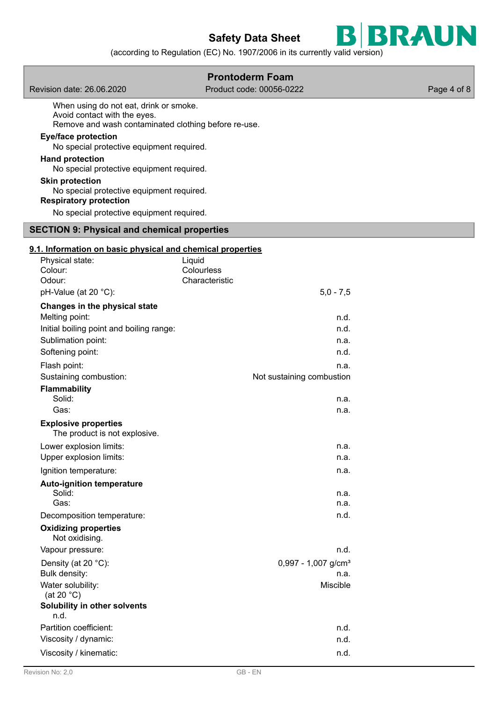

(according to Regulation (EC) No. 1907/2006 in its currently valid version)

|                                                                                                                                                                                                                                                                                                                                                                                          | <b>Prontoderm Foam</b>                                |             |
|------------------------------------------------------------------------------------------------------------------------------------------------------------------------------------------------------------------------------------------------------------------------------------------------------------------------------------------------------------------------------------------|-------------------------------------------------------|-------------|
| Revision date: 26.06.2020                                                                                                                                                                                                                                                                                                                                                                | Product code: 00056-0222                              | Page 4 of 8 |
| When using do not eat, drink or smoke.<br>Avoid contact with the eyes.<br>Remove and wash contaminated clothing before re-use.<br><b>Eye/face protection</b><br>No special protective equipment required.<br><b>Hand protection</b><br>No special protective equipment required.<br><b>Skin protection</b><br>No special protective equipment required.<br><b>Respiratory protection</b> |                                                       |             |
| No special protective equipment required.                                                                                                                                                                                                                                                                                                                                                |                                                       |             |
| <b>SECTION 9: Physical and chemical properties</b>                                                                                                                                                                                                                                                                                                                                       |                                                       |             |
| 9.1. Information on basic physical and chemical properties                                                                                                                                                                                                                                                                                                                               |                                                       |             |
| Physical state:<br>Colour:<br>Odour:<br>pH-Value (at 20 °C):                                                                                                                                                                                                                                                                                                                             | Liquid<br>Colourless<br>Characteristic<br>$5,0 - 7,5$ |             |
| Changes in the physical state                                                                                                                                                                                                                                                                                                                                                            |                                                       |             |
| Melting point:<br>Initial boiling point and boiling range:<br>Sublimation point:<br>Softening point:                                                                                                                                                                                                                                                                                     | n.d.<br>n.d.<br>n.a.<br>n.d.                          |             |
| Flash point:<br>Sustaining combustion:<br><b>Flammability</b>                                                                                                                                                                                                                                                                                                                            | n.a.<br>Not sustaining combustion                     |             |
| Solid:<br>Gas:                                                                                                                                                                                                                                                                                                                                                                           | n.a.<br>n.a.                                          |             |
| <b>Explosive properties</b><br>The product is not explosive.                                                                                                                                                                                                                                                                                                                             |                                                       |             |
| Lower explosion limits:<br>Upper explosion limits:                                                                                                                                                                                                                                                                                                                                       | n.a.<br>n.a.                                          |             |
| Ignition temperature:                                                                                                                                                                                                                                                                                                                                                                    | n.a.                                                  |             |
| <b>Auto-ignition temperature</b><br>Solid:<br>Gas:                                                                                                                                                                                                                                                                                                                                       | n.a.<br>n.a.<br>n.d.                                  |             |
| Decomposition temperature:<br><b>Oxidizing properties</b><br>Not oxidising.                                                                                                                                                                                                                                                                                                              |                                                       |             |
| Vapour pressure:                                                                                                                                                                                                                                                                                                                                                                         | n.d.                                                  |             |
| Density (at 20 °C):<br>Bulk density:<br>Water solubility:<br>(at 20 $^{\circ}$ C)                                                                                                                                                                                                                                                                                                        | $0,997 - 1,007$ g/cm <sup>3</sup><br>n.a.<br>Miscible |             |
| Solubility in other solvents                                                                                                                                                                                                                                                                                                                                                             |                                                       |             |
| n.d.<br>Partition coefficient:                                                                                                                                                                                                                                                                                                                                                           | n.d.                                                  |             |
| Viscosity / dynamic:                                                                                                                                                                                                                                                                                                                                                                     | n.d.                                                  |             |
| Viscosity / kinematic:                                                                                                                                                                                                                                                                                                                                                                   | n.d.                                                  |             |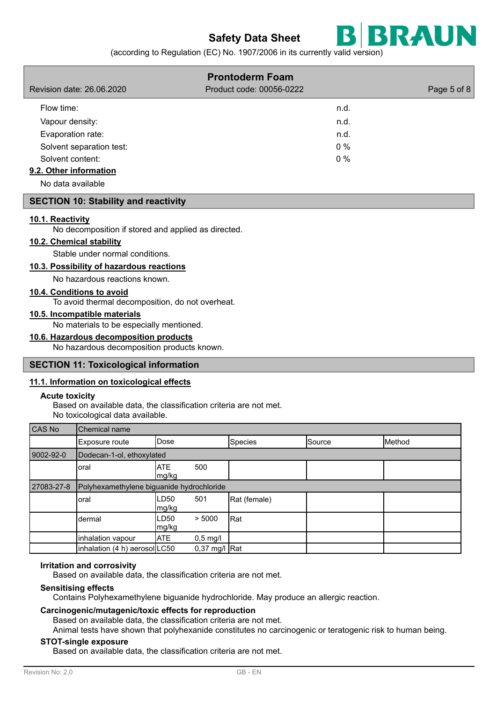

(according to Regulation (EC) No. 1907/2006 in its currently valid version)

|                                           | Revision date: 26.06.2020                                                                                                                                                                                                                                                                                                                                                                                                                                                                                                                          |                     |        | <b>Prontoderm Foam</b><br>Product code: 00056-0222 |        | Page 5 of 8 |
|-------------------------------------------|----------------------------------------------------------------------------------------------------------------------------------------------------------------------------------------------------------------------------------------------------------------------------------------------------------------------------------------------------------------------------------------------------------------------------------------------------------------------------------------------------------------------------------------------------|---------------------|--------|----------------------------------------------------|--------|-------------|
| Flow time:                                |                                                                                                                                                                                                                                                                                                                                                                                                                                                                                                                                                    |                     |        |                                                    | n.d.   |             |
| Vapour density:                           |                                                                                                                                                                                                                                                                                                                                                                                                                                                                                                                                                    |                     |        |                                                    | n.d.   |             |
| Evaporation rate:                         |                                                                                                                                                                                                                                                                                                                                                                                                                                                                                                                                                    |                     |        |                                                    | n.d.   |             |
|                                           | Solvent separation test:                                                                                                                                                                                                                                                                                                                                                                                                                                                                                                                           |                     |        |                                                    | $0\%$  |             |
| Solvent content:                          |                                                                                                                                                                                                                                                                                                                                                                                                                                                                                                                                                    |                     |        |                                                    | 0%     |             |
| 9.2. Other information                    |                                                                                                                                                                                                                                                                                                                                                                                                                                                                                                                                                    |                     |        |                                                    |        |             |
| No data available                         |                                                                                                                                                                                                                                                                                                                                                                                                                                                                                                                                                    |                     |        |                                                    |        |             |
|                                           | <b>SECTION 10: Stability and reactivity</b>                                                                                                                                                                                                                                                                                                                                                                                                                                                                                                        |                     |        |                                                    |        |             |
| 10.1. Reactivity<br><b>Acute toxicity</b> | No decomposition if stored and applied as directed.<br>10.2. Chemical stability<br>Stable under normal conditions.<br>10.3. Possibility of hazardous reactions<br>No hazardous reactions known.<br>10.4. Conditions to avoid<br>To avoid thermal decomposition, do not overheat.<br>10.5. Incompatible materials<br>No materials to be especially mentioned.<br>10.6. Hazardous decomposition products<br>No hazardous decomposition products known.<br><b>SECTION 11: Toxicological information</b><br>11.1. Information on toxicological effects |                     |        |                                                    |        |             |
|                                           | Based on available data, the classification criteria are not met.<br>No toxicological data available.                                                                                                                                                                                                                                                                                                                                                                                                                                              |                     |        |                                                    |        |             |
| <b>CAS No</b>                             | Chemical name                                                                                                                                                                                                                                                                                                                                                                                                                                                                                                                                      |                     |        |                                                    |        |             |
|                                           | Exposure route                                                                                                                                                                                                                                                                                                                                                                                                                                                                                                                                     | Dose                |        | Species                                            | Source | Method      |
| 9002-92-0                                 | Dodecan-1-ol, ethoxylated                                                                                                                                                                                                                                                                                                                                                                                                                                                                                                                          |                     |        |                                                    |        |             |
|                                           | oral                                                                                                                                                                                                                                                                                                                                                                                                                                                                                                                                               | <b>ATE</b><br>mg/kg | 500    |                                                    |        |             |
| 27083-27-8                                | Polyhexamethylene biguanide hydrochloride                                                                                                                                                                                                                                                                                                                                                                                                                                                                                                          |                     |        |                                                    |        |             |
|                                           | oral                                                                                                                                                                                                                                                                                                                                                                                                                                                                                                                                               | LD50<br>mg/kg       | 501    | Rat (female)                                       |        |             |
|                                           | dermal                                                                                                                                                                                                                                                                                                                                                                                                                                                                                                                                             | LD50<br>ma/ka       | > 5000 | Rat                                                |        |             |

#### **Irritation and corrosivity**

Based on available data, the classification criteria are not met.

#### **Sensitising effects**

Contains Polyhexamethylene biguanide hydrochloride. May produce an allergic reaction.

#### **Carcinogenic/mutagenic/toxic effects for reproduction**

inhalation vapour  $ATE$  0,5 mg/l inhalation (4 h) aerosol $|$ LC50 0,37 mg/l Rat

Based on available data, the classification criteria are not met.

Animal tests have shown that polyhexanide constitutes no carcinogenic or teratogenic risk to human being.

#### **STOT-single exposure**

Based on available data, the classification criteria are not met.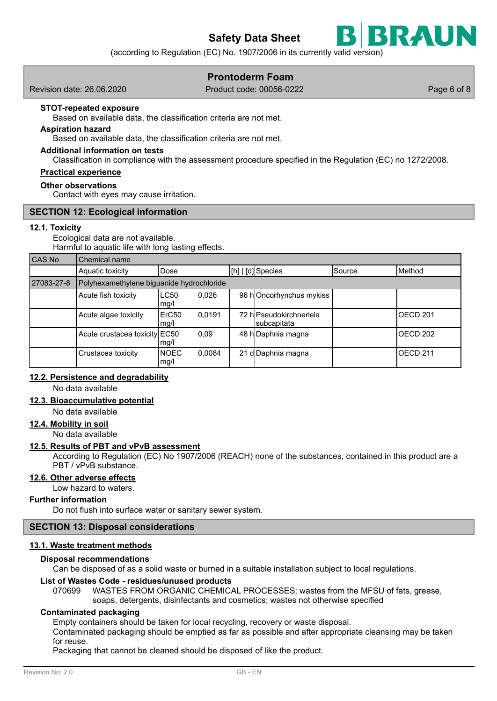

# **Prontoderm Foam**

Revision date: 26.06.2020 Product code: 00056-0222 Page 6 of 8

BRAUN

#### **STOT-repeated exposure**

Based on available data, the classification criteria are not met.

#### **Aspiration hazard**

Based on available data, the classification criteria are not met.

#### **Additional information on tests**

Classification in compliance with the assessment procedure specified in the Regulation (EC) no 1272/2008.

# **Practical experience**

#### **Other observations**

Contact with eyes may cause irritation.

#### **SECTION 12: Ecological information**

#### **12.1. Toxicity**

Ecological data are not available. Harmful to aquatic life with long lasting effects.

| <b>CAS No</b> | Chemical name                             |                           |        |  |                                        |                 |                 |
|---------------|-------------------------------------------|---------------------------|--------|--|----------------------------------------|-----------------|-----------------|
|               | Aquatic toxicity                          | Dose                      |        |  | [h]   [d] Species                      | <b>I</b> Source | IMethod         |
| 27083-27-8    | Polyhexamethylene biguanide hydrochloride |                           |        |  |                                        |                 |                 |
|               | Acute fish toxicity                       | <b>LC50</b><br>mq/l       | 0,026  |  | 96 hOncorhynchus mykiss                |                 |                 |
|               | Acute algae toxicity                      | ErC <sub>50</sub><br>mq/l | 0.0191 |  | 72 hlPseudokirchneriela<br>subcapitata |                 | OECD 201        |
|               | Acute crustacea toxicity EC50             | mg/l                      | 0.09   |  | 48 hDaphnia magna                      |                 | OECD 202        |
|               | Crustacea toxicity                        | <b>NOEC</b><br>mg/l       | 0,0084 |  | 21 d Daphnia magna                     |                 | <b>OECD 211</b> |

### **12.2. Persistence and degradability**

No data available

## **12.3. Bioaccumulative potential**

No data available

### **12.4. Mobility in soil**

No data available

#### **12.5. Results of PBT and vPvB assessment**

According to Regulation (EC) No 1907/2006 (REACH) none of the substances, contained in this product are a PBT / vPvB substance.

#### **12.6. Other adverse effects**

Low hazard to waters.

#### **Further information**

Do not flush into surface water or sanitary sewer system.

### **SECTION 13: Disposal considerations**

### **13.1. Waste treatment methods**

#### **Disposal recommendations**

Can be disposed of as a solid waste or burned in a suitable installation subject to local regulations.

#### **List of Wastes Code - residues/unused products**

070699 WASTES FROM ORGANIC CHEMICAL PROCESSES; wastes from the MFSU of fats, grease, soaps, detergents, disinfectants and cosmetics; wastes not otherwise specified

#### **Contaminated packaging**

Empty containers should be taken for local recycling, recovery or waste disposal.

Contaminated packaging should be emptied as far as possible and after appropriate cleansing may be taken for reuse.

Packaging that cannot be cleaned should be disposed of like the product.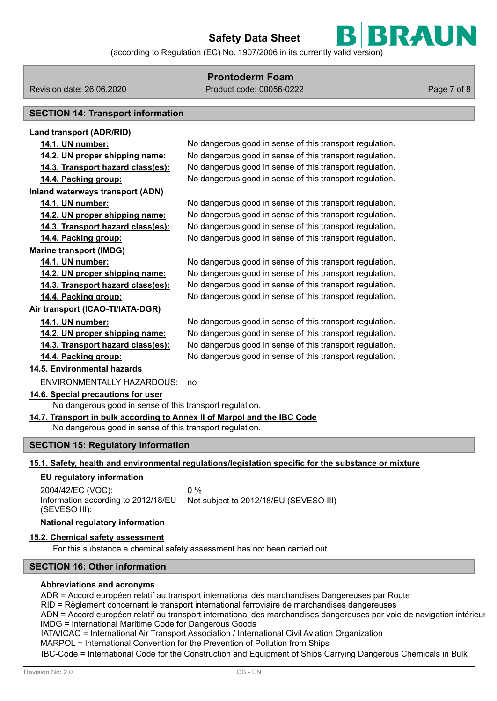

(according to Regulation (EC) No. 1907/2006 in its currently valid version)

# **Prontoderm Foam**

Revision date: 26.06.2020 Product code: 00056-0222 Page 7 of 8

# **SECTION 14: Transport information**

**Land transport (ADR/RID) 14.1. UN number:** No dangerous good in sense of this transport regulation. **14.2. UN proper shipping name:** No dangerous good in sense of this transport regulation. **14.3. Transport hazard class(es):** No dangerous good in sense of this transport regulation. **14.4. Packing group:** No dangerous good in sense of this transport regulation. **Inland waterways transport (ADN) 14.1. UN number:** No dangerous good in sense of this transport regulation. **14.2. UN proper shipping name:** No dangerous good in sense of this transport regulation. **14.3. Transport hazard class(es):** No dangerous good in sense of this transport regulation. **14.4. Packing group:** No dangerous good in sense of this transport regulation. **Marine transport (IMDG) 14.1. UN number:** No dangerous good in sense of this transport regulation. **14.2. UN proper shipping name:** No dangerous good in sense of this transport regulation. **14.3. Transport hazard class(es):** No dangerous good in sense of this transport regulation. **14.4. Packing group:** No dangerous good in sense of this transport regulation. **Air transport (ICAO-TI/IATA-DGR) 14.1. UN number:** No dangerous good in sense of this transport regulation. **14.2. UN proper shipping name:** No dangerous good in sense of this transport regulation. **14.3. Transport hazard class(es):** No dangerous good in sense of this transport regulation. **14.4. Packing group:** No dangerous good in sense of this transport regulation. **14.5. Environmental hazards** ENVIRONMENTALLY HAZARDOUS: no **14.6. Special precautions for user** No dangerous good in sense of this transport regulation. **14.7. Transport in bulk according to Annex II of Marpol and the IBC Code** No dangerous good in sense of this transport regulation. **SECTION 15: Regulatory information 15.1. Safety, health and environmental regulations/legislation specific for the substance or mixture EU regulatory information** 2004/42/EC (VOC): 0 % Information according to 2012/18/EU Not subject to 2012/18/EU (SEVESO III)

# (SEVESO III): **National regulatory information**

## **15.2. Chemical safety assessment**

For this substance a chemical safety assessment has not been carried out.

# **SECTION 16: Other information**

#### **Abbreviations and acronyms**

ADR = Accord européen relatif au transport international des marchandises Dangereuses par Route

RID = Règlement concernant le transport international ferroviaire de marchandises dangereuses

ADN = Accord européen relatif au transport international des marchandises dangereuses par voie de navigation intérieure IMDG = International Maritime Code for Dangerous Goods

IATA/ICAO = International Air Transport Association / International Civil Aviation Organization

MARPOL = International Convention for the Prevention of Pollution from Ships

IBC-Code = International Code for the Construction and Equipment of Ships Carrying Dangerous Chemicals in Bulk